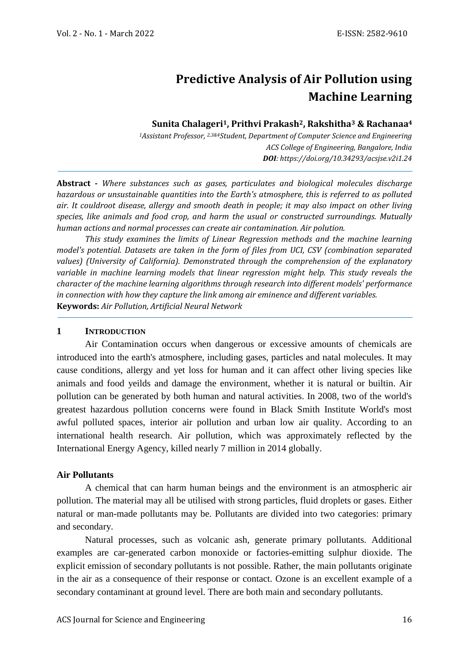# **Predictive Analysis of Air Pollution using Machine Learning**

## **Sunita Chalageri1, Prithvi Prakash2, Rakshitha<sup>3</sup> & Rachanaa<sup>4</sup>**

*<sup>1</sup>Assistant Professor, 2,3&4Student, Department of Computer Science and Engineering ACS College of Engineering, Bangalore, India DOI: https://doi.org/10.34293/acsjse.v2i1.24*

**Abstract -** *Where substances such as gases, particulates and biological molecules discharge hazardous or unsustainable quantities into the Earth's atmosphere, this is referred to as polluted air. It couldroot disease, allergy and smooth death in people; it may also impact on other living species, like animals and food crop, and harm the usual or constructed surroundings. Mutually human actions and normal processes can create air contamination. Air polution.* 

*This study examines the limits of Linear Regression methods and the machine learning model's potential. Datasets are taken in the form of files from UCI, CSV (combination separated values) (University of California). Demonstrated through the comprehension of the explanatory variable in machine learning models that linear regression might help. This study reveals the character of the machine learning algorithms through research into different models' performance in connection with how they capture the link among air eminence and different variables.* **Keywords:** *Air Pollution, Artificial Neural Network*

## **1 INTRODUCTION**

Air Contamination occurs when dangerous or excessive amounts of chemicals are introduced into the earth's atmosphere, including gases, particles and natal molecules. It may cause conditions, allergy and yet loss for human and it can affect other living species like animals and food yeilds and damage the environment, whether it is natural or builtin. Air pollution can be generated by both human and natural activities. In 2008, two of the world's greatest hazardous pollution concerns were found in Black Smith Institute World's most awful polluted spaces, interior air pollution and urban low air quality. According to an international health research. Air pollution, which was approximately reflected by the International Energy Agency, killed nearly 7 million in 2014 globally.

## **Air Pollutants**

A chemical that can harm human beings and the environment is an atmospheric air pollution. The material may all be utilised with strong particles, fluid droplets or gases. Either natural or man-made pollutants may be. Pollutants are divided into two categories: primary and secondary.

Natural processes, such as volcanic ash, generate primary pollutants. Additional examples are car-generated carbon monoxide or factories-emitting sulphur dioxide. The explicit emission of secondary pollutants is not possible. Rather, the main pollutants originate in the air as a consequence of their response or contact. Ozone is an excellent example of a secondary contaminant at ground level. There are both main and secondary pollutants.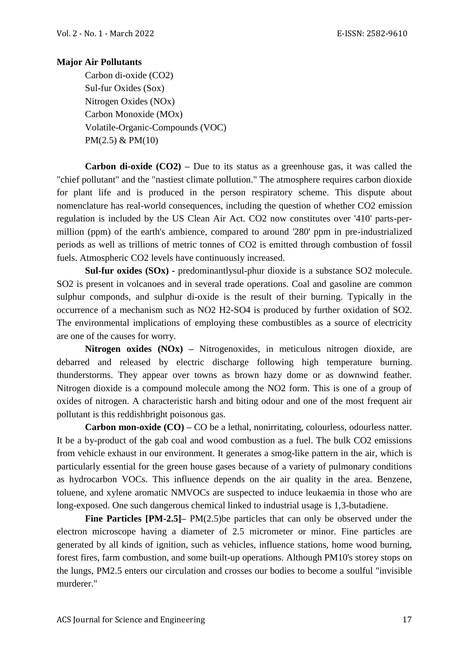# **Major Air Pollutants**

Carbon di-oxide (CO2) Sul-fur Oxides (Sox) Nitrogen Oxides (NOx) Carbon Monoxide (MOx) Volatile-Organic-Compounds (VOC) PM(2.5) & PM(10)

**Carbon di-oxide (CO2) –** Due to its status as a greenhouse gas, it was called the "chief pollutant" and the "nastiest climate pollution." The atmosphere requires carbon dioxide for plant life and is produced in the person respiratory scheme. This dispute about nomenclature has real-world consequences, including the question of whether CO2 emission regulation is included by the US Clean Air Act. CO2 now constitutes over '410' parts-permillion (ppm) of the earth's ambience, compared to around '280' ppm in pre-industrialized periods as well as trillions of metric tonnes of CO2 is emitted through combustion of fossil fuels. Atmospheric CO2 levels have continuously increased.

**Sul-fur oxides (SOx) -** predominantlysul-phur dioxide is a substance SO2 molecule. SO2 is present in volcanoes and in several trade operations. Coal and gasoline are common sulphur componds, and sulphur di-oxide is the result of their burning. Typically in the occurrence of a mechanism such as NO2 H2-SO4 is produced by further oxidation of SO2. The environmental implications of employing these combustibles as a source of electricity are one of the causes for worry.

**Nitrogen oxides (NOx) –** Nitrogenoxides, in meticulous nitrogen dioxide, are debarred and released by electric discharge following high temperature burning. thunderstorms. They appear over towns as brown hazy dome or as downwind feather. Nitrogen dioxide is a compound molecule among the NO2 form. This is one of a group of oxides of nitrogen. A characteristic harsh and biting odour and one of the most frequent air pollutant is this reddishbright poisonous gas.

**Carbon mon-oxide (CO) – CO** be a lethal, nonirritating, colourless, odourless natter. It be a by-product of the gab coal and wood combustion as a fuel. The bulk CO2 emissions from vehicle exhaust in our environment. It generates a smog-like pattern in the air, which is particularly essential for the green house gases because of a variety of pulmonary conditions as hydrocarbon VOCs. This influence depends on the air quality in the area. Benzene, toluene, and xylene aromatic NMVOCs are suspected to induce leukaemia in those who are long-exposed. One such dangerous chemical linked to industrial usage is 1,3-butadiene.

**Fine Particles [PM-2.5]–** PM(2.5)be particles that can only be observed under the electron microscope having a diameter of 2.5 micrometer or minor. Fine particles are generated by all kinds of ignition, such as vehicles, influence stations, home wood burning, forest fires, farm combustion, and some built-up operations. Although PM10's storey stops on the lungs, PM2.5 enters our circulation and crosses our bodies to become a soulful "invisible murderer."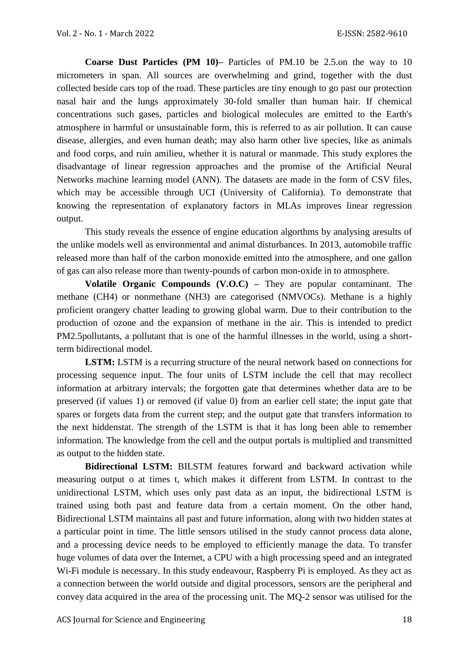**Coarse Dust Particles (PM 10)–** Particles of PM.10 be 2.5.on the way to 10 micrometers in span. All sources are overwhelming and grind, together with the dust collected beside cars top of the road. These particles are tiny enough to go past our protection nasal hair and the lungs approximately 30-fold smaller than human hair. If chemical concentrations such gases, particles and biological molecules are emitted to the Earth's atmosphere in harmful or unsustainable form, this is referred to as air pollution. It can cause disease, allergies, and even human death; may also harm other live species, like as animals and food corps, and ruin amilieu, whether it is natural or manmade. This study explores the disadvantage of linear regression approaches and the promise of the Artificial Neural Networks machine learning model (ANN). The datasets are made in the form of CSV files, which may be accessible through UCI (University of California). To demonstrate that knowing the representation of explanatory factors in MLAs improves linear regression output.

This study reveals the essence of engine education algorthms by analysing aresults of the unlike models well as environmental and animal disturbances. In 2013, automobile traffic released more than half of the carbon monoxide emitted into the atmosphere, and one gallon of gas can also release more than twenty-pounds of carbon mon-oxide in to atmosphere.

**Volatile Organic Compounds (V.O.C) –** They are popular contaminant. The methane (CH4) or nonmethane (NH3) are categorised (NMVOCs). Methane is a highly proficient orangery chatter leading to growing global warm. Due to their contribution to the production of ozone and the expansion of methane in the air. This is intended to predict PM2.5pollutants, a pollutant that is one of the harmful illnesses in the world, using a shortterm bidirectional model.

**LSTM:** LSTM is a recurring structure of the neural network based on connections for processing sequence input. The four units of LSTM include the cell that may recollect information at arbitrary intervals; the forgotten gate that determines whether data are to be preserved (if values 1) or removed (if value 0) from an earlier cell state; the input gate that spares or forgets data from the current step; and the output gate that transfers information to the next hiddenstat. The strength of the LSTM is that it has long been able to remember information. The knowledge from the cell and the output portals is multiplied and transmitted as output to the hidden state.

**Bidirectional LSTM:** BILSTM features forward and backward activation while measuring output o at times t, which makes it different from LSTM. In contrast to the unidirectional LSTM, which uses only past data as an input, the bidirectional LSTM is trained using both past and feature data from a certain moment. On the other hand, Bidirectional LSTM maintains all past and future information, along with two hidden states at a particular point in time. The little sensors utilised in the study cannot process data alone, and a processing device needs to be employed to efficiently manage the data. To transfer huge volumes of data over the Internet, a CPU with a high processing speed and an integrated Wi-Fi module is necessary. In this study endeavour, Raspberry Pi is employed. As they act as a connection between the world outside and digital processors, sensors are the peripheral and convey data acquired in the area of the processing unit. The MQ-2 sensor was utilised for the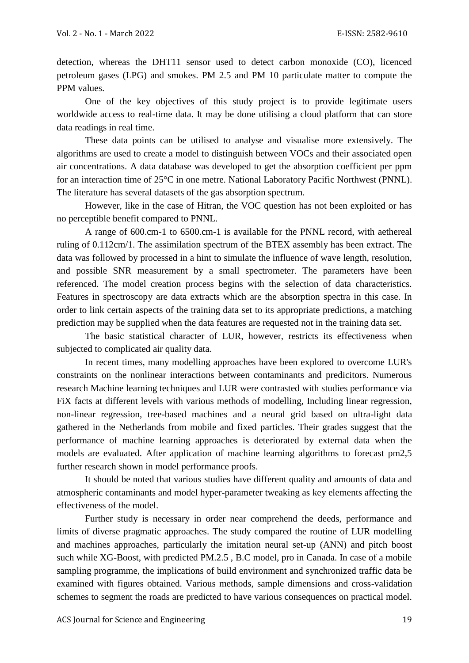detection, whereas the DHT11 sensor used to detect carbon monoxide (CO), licenced petroleum gases (LPG) and smokes. PM 2.5 and PM 10 particulate matter to compute the PPM values.

One of the key objectives of this study project is to provide legitimate users worldwide access to real-time data. It may be done utilising a cloud platform that can store data readings in real time.

These data points can be utilised to analyse and visualise more extensively. The algorithms are used to create a model to distinguish between VOCs and their associated open air concentrations. A data database was developed to get the absorption coefficient per ppm for an interaction time of 25°C in one metre. National Laboratory Pacific Northwest (PNNL). The literature has several datasets of the gas absorption spectrum.

However, like in the case of Hitran, the VOC question has not been exploited or has no perceptible benefit compared to PNNL.

A range of 600.cm-1 to 6500.cm-1 is available for the PNNL record, with aethereal ruling of 0.112cm/1. The assimilation spectrum of the BTEX assembly has been extract. The data was followed by processed in a hint to simulate the influence of wave length, resolution, and possible SNR measurement by a small spectrometer. The parameters have been referenced. The model creation process begins with the selection of data characteristics. Features in spectroscopy are data extracts which are the absorption spectra in this case. In order to link certain aspects of the training data set to its appropriate predictions, a matching prediction may be supplied when the data features are requested not in the training data set.

The basic statistical character of LUR, however, restricts its effectiveness when subjected to complicated air quality data.

In recent times, many modelling approaches have been explored to overcome LUR's constraints on the nonlinear interactions between contaminants and predicitors. Numerous research Machine learning techniques and LUR were contrasted with studies performance via FiX facts at different levels with various methods of modelling, Including linear regression, non-linear regression, tree-based machines and a neural grid based on ultra-light data gathered in the Netherlands from mobile and fixed particles. Their grades suggest that the performance of machine learning approaches is deteriorated by external data when the models are evaluated. After application of machine learning algorithms to forecast pm2,5 further research shown in model performance proofs.

It should be noted that various studies have different quality and amounts of data and atmospheric contaminants and model hyper-parameter tweaking as key elements affecting the effectiveness of the model.

Further study is necessary in order near comprehend the deeds, performance and limits of diverse pragmatic approaches. The study compared the routine of LUR modelling and machines approaches, particularly the imitation neural set-up (ANN) and pitch boost such while XG-Boost, with predicted PM.2.5 , B.C model, pro in Canada. In case of a mobile sampling programme, the implications of build environment and synchronized traffic data be examined with figures obtained. Various methods, sample dimensions and cross-validation schemes to segment the roads are predicted to have various consequences on practical model.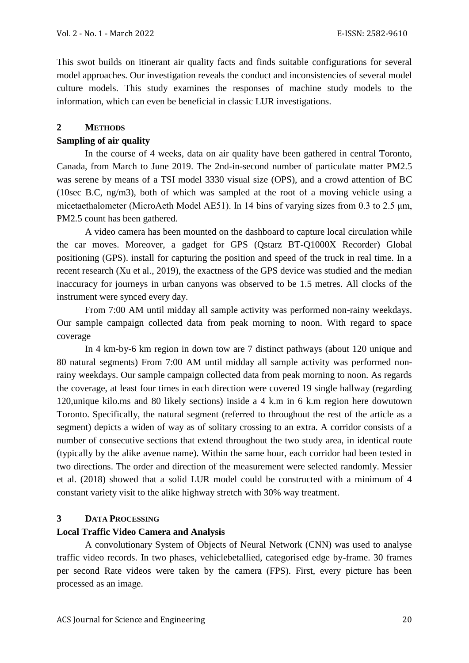This swot builds on itinerant air quality facts and finds suitable configurations for several model approaches. Our investigation reveals the conduct and inconsistencies of several model culture models. This study examines the responses of machine study models to the information, which can even be beneficial in classic LUR investigations.

# **2 METHODS**

# **Sampling of air quality**

In the course of 4 weeks, data on air quality have been gathered in central Toronto, Canada, from March to June 2019. The 2nd-in-second number of particulate matter PM2.5 was serene by means of a TSI model 3330 visual size (OPS), and a crowd attention of BC (10sec B.C, ng/m3), both of which was sampled at the root of a moving vehicle using a micetaethalometer (MicroAeth Model AE51). In 14 bins of varying sizes from 0.3 to 2.5 um, PM2.5 count has been gathered.

A video camera has been mounted on the dashboard to capture local circulation while the car moves. Moreover, a gadget for GPS (Qstarz BT-Q1000X Recorder) Global positioning (GPS). install for capturing the position and speed of the truck in real time. In a recent research (Xu et al., 2019), the exactness of the GPS device was studied and the median inaccuracy for journeys in urban canyons was observed to be 1.5 metres. All clocks of the instrument were synced every day.

From 7:00 AM until midday all sample activity was performed non-rainy weekdays. Our sample campaign collected data from peak morning to noon. With regard to space coverage

In 4 km-by-6 km region in down tow are 7 distinct pathways (about 120 unique and 80 natural segments) From 7:00 AM until midday all sample activity was performed nonrainy weekdays. Our sample campaign collected data from peak morning to noon. As regards the coverage, at least four times in each direction were covered 19 single hallway (regarding 120,unique kilo.ms and 80 likely sections) inside a 4 k.m in 6 k.m region here dowutown Toronto. Specifically, the natural segment (referred to throughout the rest of the article as a segment) depicts a widen of way as of solitary crossing to an extra. A corridor consists of a number of consecutive sections that extend throughout the two study area, in identical route (typically by the alike avenue name). Within the same hour, each corridor had been tested in two directions. The order and direction of the measurement were selected randomly. Messier et al. (2018) showed that a solid LUR model could be constructed with a minimum of 4 constant variety visit to the alike highway stretch with 30% way treatment.

# **3 DATA PROCESSING**

# **Local Traffic Video Camera and Analysis**

A convolutionary System of Objects of Neural Network (CNN) was used to analyse traffic video records. In two phases, vehiclebetallied, categorised edge by-frame. 30 frames per second Rate videos were taken by the camera (FPS). First, every picture has been processed as an image.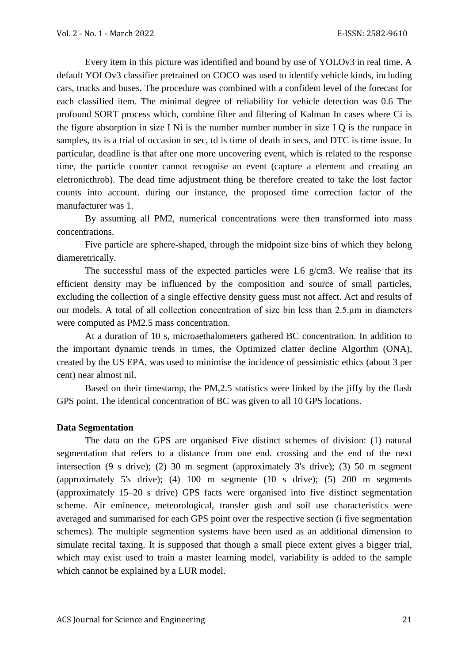Every item in this picture was identified and bound by use of YOLOv3 in real time. A default YOLOv3 classifier pretrained on COCO was used to identify vehicle kinds, including cars, trucks and buses. The procedure was combined with a confident level of the forecast for each classified item. The minimal degree of reliability for vehicle detection was 0.6 The profound SORT process which, combine filter and filtering of Kalman In cases where Ci is the figure absorption in size I Ni is the number number number in size I Q is the runpace in samples, tts is a trial of occasion in sec, td is time of death in secs, and DTC is time issue. In particular, deadline is that after one more uncovering event, which is related to the response time, the particle counter cannot recognise an event (capture a element and creating an eletronicthrob). The dead time adjustment thing be therefore created to take the lost factor counts into account. during our instance, the proposed time correction factor of the manufacturer was 1.

By assuming all PM2, numerical concentrations were then transformed into mass concentrations.

Five particle are sphere-shaped, through the midpoint size bins of which they belong diameretrically.

The successful mass of the expected particles were 1.6 g/cm3. We realise that its efficient density may be influenced by the composition and source of small particles, excluding the collection of a single effective density guess must not affect. Act and results of our models. A total of all collection concentration of size bin less than 2.5.μm in diameters were computed as PM2.5 mass concentration.

At a duration of 10 s, microaethalometers gathered BC concentration. In addition to the important dynamic trends in times, the Optimized clatter decline Algorthm (ONA), created by the US EPA, was used to minimise the incidence of pessimistic ethics (about 3 per cent) near almost nil.

Based on their timestamp, the PM,2.5 statistics were linked by the jiffy by the flash GPS point. The identical concentration of BC was given to all 10 GPS locations.

## **Data Segmentation**

The data on the GPS are organised Five distinct schemes of division: (1) natural segmentation that refers to a distance from one end. crossing and the end of the next intersection (9 s drive); (2) 30 m segment (approximately 3's drive); (3) 50 m segment (approximately 5's drive); (4) 100 m segmente (10 s drive); (5) 200 m segments (approximately 15–20 s drive) GPS facts were organised into five distinct segmentation scheme. Air eminence, meteorological, transfer gush and soil use characteristics were averaged and summarised for each GPS point over the respective section (i five segmentation schemes). The multiple segmention systems have been used as an additional dimension to simulate recital taxing. It is supposed that though a small piece extent gives a bigger trial, which may exist used to train a master learning model, variability is added to the sample which cannot be explained by a LUR model.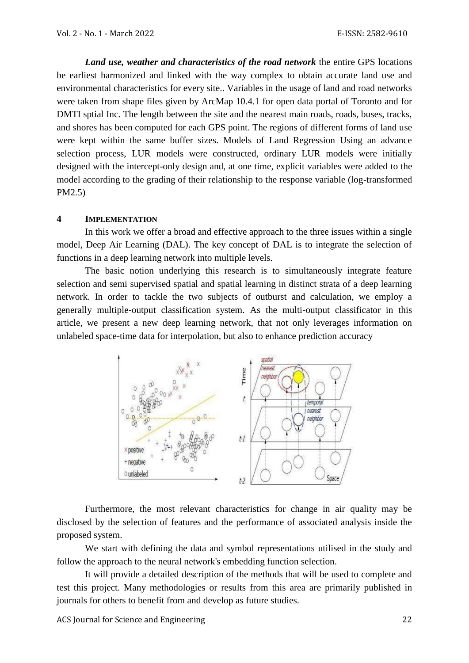*Land use, weather and characteristics of the road network* the entire GPS locations be earliest harmonized and linked with the way complex to obtain accurate land use and environmental characteristics for every site.. Variables in the usage of land and road networks were taken from shape files given by ArcMap 10.4.1 for open data portal of Toronto and for DMTI sptial Inc. The length between the site and the nearest main roads, roads, buses, tracks, and shores has been computed for each GPS point. The regions of different forms of land use were kept within the same buffer sizes. Models of Land Regression Using an advance selection process, LUR models were constructed, ordinary LUR models were initially designed with the intercept-only design and, at one time, explicit variables were added to the model according to the grading of their relationship to the response variable (log-transformed PM2.5)

## **4 IMPLEMENTATION**

In this work we offer a broad and effective approach to the three issues within a single model, Deep Air Learning (DAL). The key concept of DAL is to integrate the selection of functions in a deep learning network into multiple levels.

The basic notion underlying this research is to simultaneously integrate feature selection and semi supervised spatial and spatial learning in distinct strata of a deep learning network. In order to tackle the two subjects of outburst and calculation, we employ a generally multiple-output classification system. As the multi-output classificator in this article, we present a new deep learning network, that not only leverages information on unlabeled space-time data for interpolation, but also to enhance prediction accuracy



Furthermore, the most relevant characteristics for change in air quality may be disclosed by the selection of features and the performance of associated analysis inside the proposed system.

We start with defining the data and symbol representations utilised in the study and follow the approach to the neural network's embedding function selection.

It will provide a detailed description of the methods that will be used to complete and test this project. Many methodologies or results from this area are primarily published in journals for others to benefit from and develop as future studies.

ACS Journal for Science and Engineering 22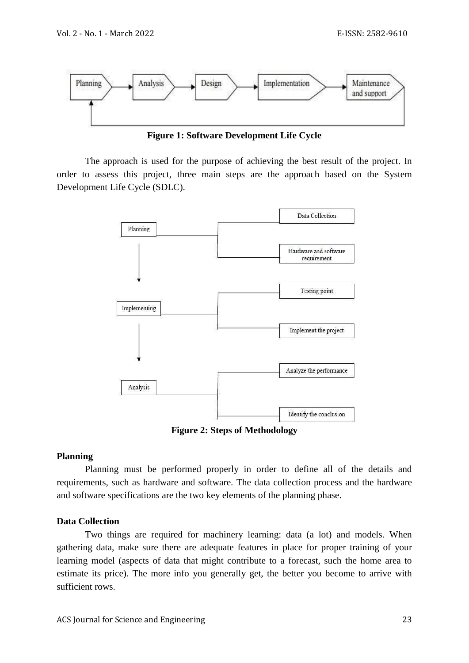

**Figure 1: Software Development Life Cycle**

The approach is used for the purpose of achieving the best result of the project. In order to assess this project, three main steps are the approach based on the System Development Life Cycle (SDLC).



**Figure 2: Steps of Methodology**

# **Planning**

Planning must be performed properly in order to define all of the details and requirements, such as hardware and software. The data collection process and the hardware and software specifications are the two key elements of the planning phase.

# **Data Collection**

Two things are required for machinery learning: data (a lot) and models. When gathering data, make sure there are adequate features in place for proper training of your learning model (aspects of data that might contribute to a forecast, such the home area to estimate its price). The more info you generally get, the better you become to arrive with sufficient rows.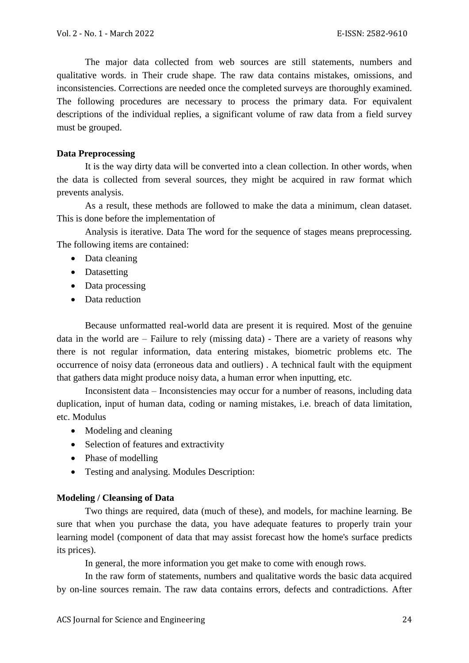The major data collected from web sources are still statements, numbers and qualitative words. in Their crude shape. The raw data contains mistakes, omissions, and inconsistencies. Corrections are needed once the completed surveys are thoroughly examined. The following procedures are necessary to process the primary data. For equivalent descriptions of the individual replies, a significant volume of raw data from a field survey must be grouped.

# **Data Preprocessing**

It is the way dirty data will be converted into a clean collection. In other words, when the data is collected from several sources, they might be acquired in raw format which prevents analysis.

As a result, these methods are followed to make the data a minimum, clean dataset. This is done before the implementation of

Analysis is iterative. Data The word for the sequence of stages means preprocessing. The following items are contained:

- Data cleaning
- Datasetting
- Data processing
- Data reduction

Because unformatted real-world data are present it is required. Most of the genuine data in the world are – Failure to rely (missing data) - There are a variety of reasons why there is not regular information, data entering mistakes, biometric problems etc. The occurrence of noisy data (erroneous data and outliers) . A technical fault with the equipment that gathers data might produce noisy data, a human error when inputting, etc.

Inconsistent data – Inconsistencies may occur for a number of reasons, including data duplication, input of human data, coding or naming mistakes, i.e. breach of data limitation, etc. Modulus

- Modeling and cleaning
- Selection of features and extractivity
- Phase of modelling
- Testing and analysing. Modules Description:

# **Modeling / Cleansing of Data**

Two things are required, data (much of these), and models, for machine learning. Be sure that when you purchase the data, you have adequate features to properly train your learning model (component of data that may assist forecast how the home's surface predicts its prices).

In general, the more information you get make to come with enough rows.

In the raw form of statements, numbers and qualitative words the basic data acquired by on-line sources remain. The raw data contains errors, defects and contradictions. After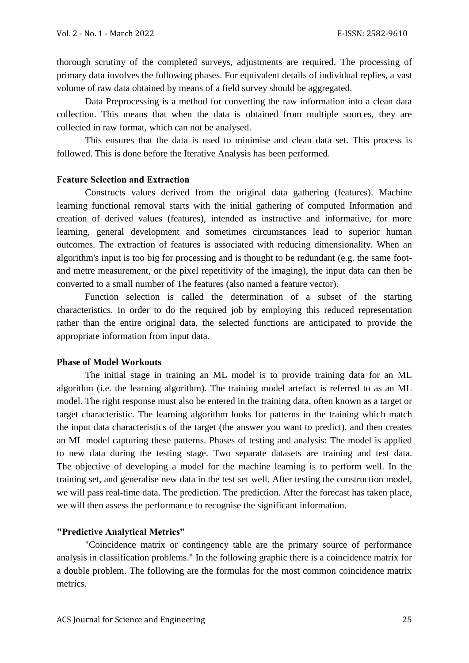thorough scrutiny of the completed surveys, adjustments are required. The processing of primary data involves the following phases. For equivalent details of individual replies, a vast volume of raw data obtained by means of a field survey should be aggregated.

Data Preprocessing is a method for converting the raw information into a clean data collection. This means that when the data is obtained from multiple sources, they are collected in raw format, which can not be analysed.

This ensures that the data is used to minimise and clean data set. This process is followed. This is done before the Iterative Analysis has been performed.

### **Feature Selection and Extraction**

Constructs values derived from the original data gathering (features). Machine learning functional removal starts with the initial gathering of computed Information and creation of derived values (features), intended as instructive and informative, for more learning, general development and sometimes circumstances lead to superior human outcomes. The extraction of features is associated with reducing dimensionality. When an algorithm's input is too big for processing and is thought to be redundant (e.g. the same footand metre measurement, or the pixel repetitivity of the imaging), the input data can then be converted to a small number of The features (also named a feature vector).

Function selection is called the determination of a subset of the starting characteristics. In order to do the required job by employing this reduced representation rather than the entire original data, the selected functions are anticipated to provide the appropriate information from input data.

#### **Phase of Model Workouts**

The initial stage in training an ML model is to provide training data for an ML algorithm (i.e. the learning algorithm). The training model artefact is referred to as an ML model. The right response must also be entered in the training data, often known as a target or target characteristic. The learning algorithm looks for patterns in the training which match the input data characteristics of the target (the answer you want to predict), and then creates an ML model capturing these patterns. Phases of testing and analysis: The model is applied to new data during the testing stage. Two separate datasets are training and test data. The objective of developing a model for the machine learning is to perform well. In the training set, and generalise new data in the test set well. After testing the construction model, we will pass real-time data. The prediction. The prediction. After the forecast has taken place, we will then assess the performance to recognise the significant information.

## **"Predictive Analytical Metrics"**

"Coincidence matrix or contingency table are the primary source of performance analysis in classification problems." In the following graphic there is a coincidence matrix for a double problem. The following are the formulas for the most common coincidence matrix metrics.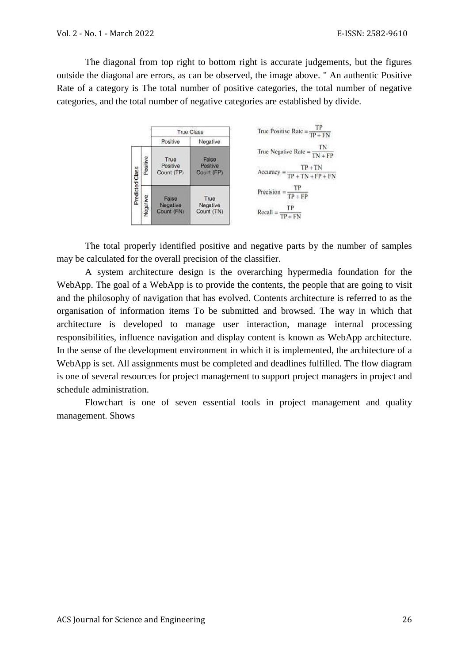The diagonal from top right to bottom right is accurate judgements, but the figures outside the diagonal are errors, as can be observed, the image above. " An authentic Positive Rate of a category is The total number of positive categories, the total number of negative categories, and the total number of negative categories are established by divide.



The total properly identified positive and negative parts by the number of samples may be calculated for the overall precision of the classifier.

A system architecture design is the overarching hypermedia foundation for the WebApp. The goal of a WebApp is to provide the contents, the people that are going to visit and the philosophy of navigation that has evolved. Contents architecture is referred to as the organisation of information items To be submitted and browsed. The way in which that architecture is developed to manage user interaction, manage internal processing responsibilities, influence navigation and display content is known as WebApp architecture. In the sense of the development environment in which it is implemented, the architecture of a WebApp is set. All assignments must be completed and deadlines fulfilled. The flow diagram is one of several resources for project management to support project managers in project and schedule administration.

Flowchart is one of seven essential tools in project management and quality management. Shows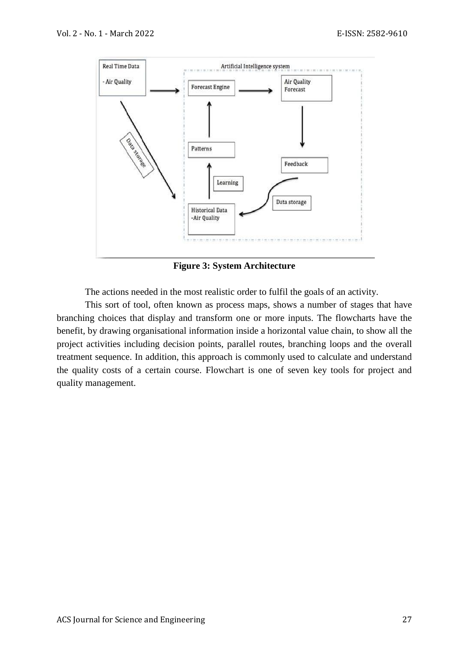

**Figure 3: System Architecture**

The actions needed in the most realistic order to fulfil the goals of an activity.

This sort of tool, often known as process maps, shows a number of stages that have branching choices that display and transform one or more inputs. The flowcharts have the benefit, by drawing organisational information inside a horizontal value chain, to show all the project activities including decision points, parallel routes, branching loops and the overall treatment sequence. In addition, this approach is commonly used to calculate and understand the quality costs of a certain course. Flowchart is one of seven key tools for project and quality management.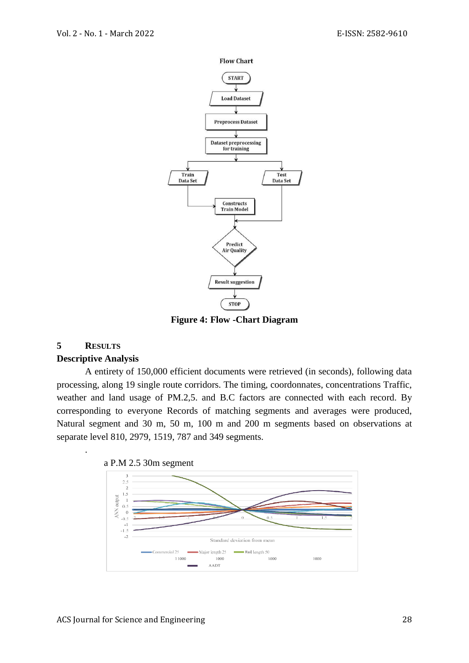

**Figure 4: Flow -Chart Diagram**

## **5 RESULTS**

.

#### **Descriptive Analysis**

A entirety of 150,000 efficient documents were retrieved (in seconds), following data processing, along 19 single route corridors. The timing, coordonnates, concentrations Traffic, weather and land usage of PM.2,5. and B.C factors are connected with each record. By corresponding to everyone Records of matching segments and averages were produced, Natural segment and 30 m, 50 m, 100 m and 200 m segments based on observations at separate level 810, 2979, 1519, 787 and 349 segments.



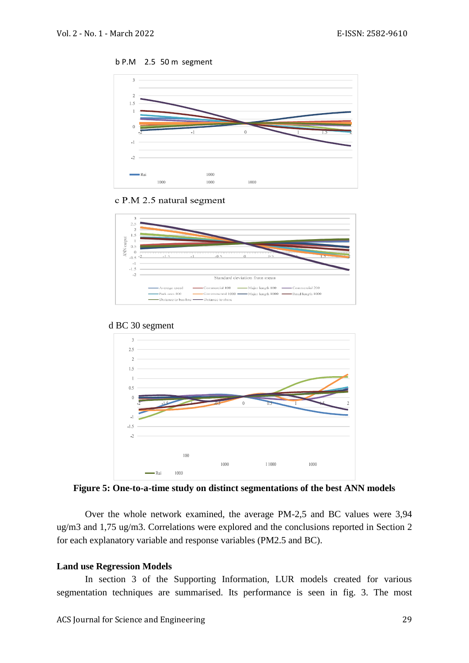



#### c P.M 2.5 natural segment





### d BC 30 segment

**Figure 5: One-to-a-time study on distinct segmentations of the best ANN models**

Over the whole network examined, the average PM-2,5 and BC values were 3,94 ug/m3 and 1,75 ug/m3. Correlations were explored and the conclusions reported in Section 2 for each explanatory variable and response variables (PM2.5 and BC).

#### **Land use Regression Models**

In section 3 of the Supporting Information, LUR models created for various segmentation techniques are summarised. Its performance is seen in fig. 3. The most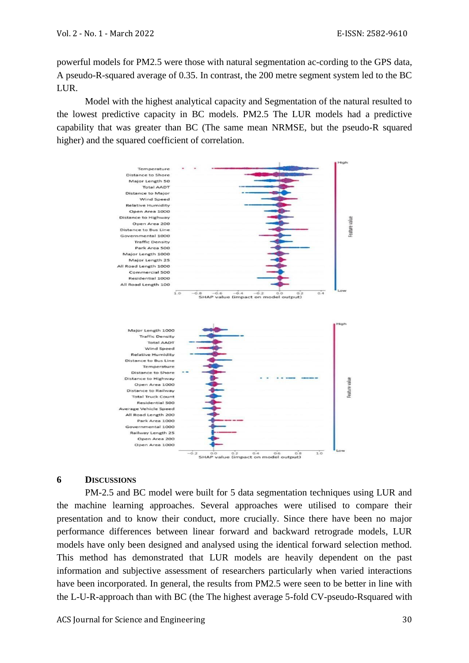powerful models for PM2.5 were those with natural segmentation ac-cording to the GPS data, A pseudo-R-squared average of 0.35. In contrast, the 200 metre segment system led to the BC LUR.

Model with the highest analytical capacity and Segmentation of the natural resulted to the lowest predictive capacity in BC models. PM2.5 The LUR models had a predictive capability that was greater than BC (The same mean NRMSE, but the pseudo-R squared higher) and the squared coefficient of correlation.



# **6 DISCUSSIONS**

PM-2.5 and BC model were built for 5 data segmentation techniques using LUR and the machine learning approaches. Several approaches were utilised to compare their presentation and to know their conduct, more crucially. Since there have been no major performance differences between linear forward and backward retrograde models, LUR models have only been designed and analysed using the identical forward selection method. This method has demonstrated that LUR models are heavily dependent on the past information and subjective assessment of researchers particularly when varied interactions have been incorporated. In general, the results from PM2.5 were seen to be better in line with the L-U-R-approach than with BC (the The highest average 5-fold CV-pseudo-Rsquared with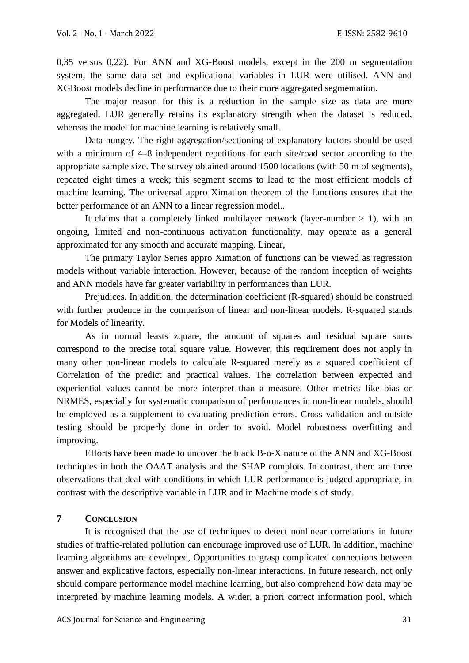0,35 versus 0,22). For ANN and XG-Boost models, except in the 200 m segmentation system, the same data set and explicational variables in LUR were utilised. ANN and XGBoost models decline in performance due to their more aggregated segmentation.

The major reason for this is a reduction in the sample size as data are more aggregated. LUR generally retains its explanatory strength when the dataset is reduced, whereas the model for machine learning is relatively small.

Data-hungry. The right aggregation/sectioning of explanatory factors should be used with a minimum of 4–8 independent repetitions for each site/road sector according to the appropriate sample size. The survey obtained around 1500 locations (with 50 m of segments), repeated eight times a week; this segment seems to lead to the most efficient models of machine learning. The universal appro Ximation theorem of the functions ensures that the better performance of an ANN to a linear regression model..

It claims that a completely linked multilayer network (layer-number  $> 1$ ), with an ongoing, limited and non-continuous activation functionality, may operate as a general approximated for any smooth and accurate mapping. Linear,

The primary Taylor Series appro Ximation of functions can be viewed as regression models without variable interaction. However, because of the random inception of weights and ANN models have far greater variability in performances than LUR.

Prejudices. In addition, the determination coefficient (R-squared) should be construed with further prudence in the comparison of linear and non-linear models. R-squared stands for Models of linearity.

As in normal leasts zquare, the amount of squares and residual square sums correspond to the precise total square value. However, this requirement does not apply in many other non-linear models to calculate R-squared merely as a squared coefficient of Correlation of the predict and practical values. The correlation between expected and experiential values cannot be more interpret than a measure. Other metrics like bias or NRMES, especially for systematic comparison of performances in non-linear models, should be employed as a supplement to evaluating prediction errors. Cross validation and outside testing should be properly done in order to avoid. Model robustness overfitting and improving.

Efforts have been made to uncover the black B-o-X nature of the ANN and XG-Boost techniques in both the OAAT analysis and the SHAP complots. In contrast, there are three observations that deal with conditions in which LUR performance is judged appropriate, in contrast with the descriptive variable in LUR and in Machine models of study.

## **7 CONCLUSION**

It is recognised that the use of techniques to detect nonlinear correlations in future studies of traffic-related pollution can encourage improved use of LUR. In addition, machine learning algorithms are developed, Opportunities to grasp complicated connections between answer and explicative factors, especially non-linear interactions. In future research, not only should compare performance model machine learning, but also comprehend how data may be interpreted by machine learning models. A wider, a priori correct information pool, which